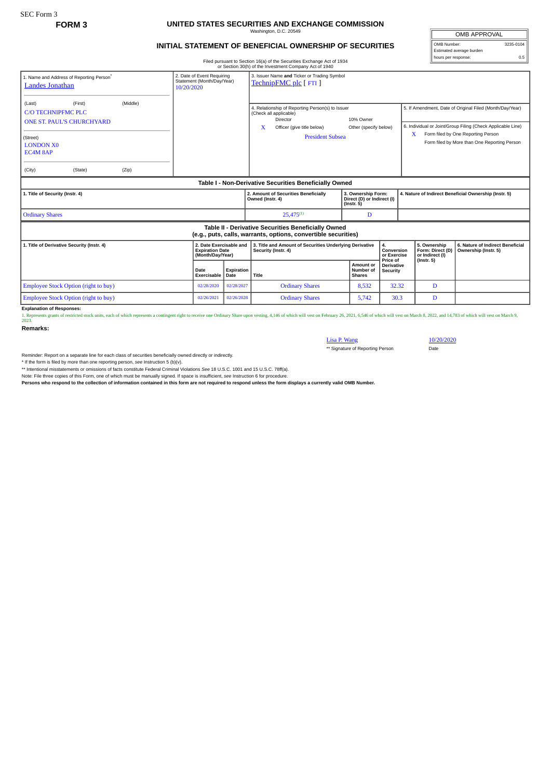## **FORM 3 UNITED STATES SECURITIES AND EXCHANGE COMMISSION** Washington, D.C. 20549

## **INITIAL STATEMENT OF BENEFICIAL OWNERSHIP OF SECURITIES**

OMB APPROVAL OMB Number: 3235-0104 Estimated average burden hours per response: 0.5

Filed pursuant to Section 16(a) of the Securities Exchange Act of 1934 or Section 30(h) of the Investment Company Act of 1940

| or Secuon Sofin or the investment Company Act or 1940                                                                  |                                                                        |                   |                     |                                                                       |                                                                                                                                  |                                                                                                                                                 |                                         |                                                       |                                                     |                                                                                                                                                                                                               |
|------------------------------------------------------------------------------------------------------------------------|------------------------------------------------------------------------|-------------------|---------------------|-----------------------------------------------------------------------|----------------------------------------------------------------------------------------------------------------------------------|-------------------------------------------------------------------------------------------------------------------------------------------------|-----------------------------------------|-------------------------------------------------------|-----------------------------------------------------|---------------------------------------------------------------------------------------------------------------------------------------------------------------------------------------------------------------|
| 1. Name and Address of Reporting Person®<br><b>Landes Jonathan</b>                                                     | 2. Date of Event Requiring<br>Statement (Month/Day/Year)<br>10/20/2020 |                   |                     | 3. Issuer Name and Ticker or Trading Symbol<br>TechnipFMC plc [FTI]   |                                                                                                                                  |                                                                                                                                                 |                                         |                                                       |                                                     |                                                                                                                                                                                                               |
| (Last)<br>C/O TECHNIPEMC PLC<br><b>ONE ST. PAUL'S CHURCHYARD</b><br>(Street)<br><b>LONDON X0</b><br>EC4M 8AP<br>(City) | (First)<br>(State)                                                     | (Middle)<br>(Zip) |                     |                                                                       | X                                                                                                                                | 4. Relationship of Reporting Person(s) to Issuer<br>(Check all applicable)<br>Director<br>Officer (give title below)<br><b>President Subsea</b> | 10% Owner<br>Other (specify below)      |                                                       | X                                                   | 5. If Amendment, Date of Original Filed (Month/Day/Year)<br>6. Individual or Joint/Group Filing (Check Applicable Line)<br>Form filed by One Reporting Person<br>Form filed by More than One Reporting Person |
| Table I - Non-Derivative Securities Beneficially Owned                                                                 |                                                                        |                   |                     |                                                                       |                                                                                                                                  |                                                                                                                                                 |                                         |                                                       |                                                     |                                                                                                                                                                                                               |
| 1. Title of Security (Instr. 4)                                                                                        |                                                                        |                   |                     |                                                                       | 2. Amount of Securities Beneficially<br>3. Ownership Form:<br>Owned (Instr. 4)<br>Direct (D) or Indirect (I)<br>$($ Instr. 5 $)$ |                                                                                                                                                 |                                         | 4. Nature of Indirect Beneficial Ownership (Instr. 5) |                                                     |                                                                                                                                                                                                               |
| <b>Ordinary Shares</b>                                                                                                 |                                                                        |                   |                     |                                                                       |                                                                                                                                  | $25.475^{(1)}$                                                                                                                                  | D                                       |                                                       |                                                     |                                                                                                                                                                                                               |
| Table II - Derivative Securities Beneficially Owned<br>(e.g., puts, calls, warrants, options, convertible securities)  |                                                                        |                   |                     |                                                                       |                                                                                                                                  |                                                                                                                                                 |                                         |                                                       |                                                     |                                                                                                                                                                                                               |
| 1. Title of Derivative Security (Instr. 4)                                                                             |                                                                        |                   |                     | 2. Date Exercisable and<br><b>Expiration Date</b><br>(Month/Day/Year) |                                                                                                                                  | 3. Title and Amount of Securities Underlying Derivative<br>Security (Instr. 4)                                                                  |                                         | 4.<br>Conversion<br>or Exercise                       | 5. Ownership<br>Form: Direct (D)<br>or Indirect (I) | 6. Nature of Indirect Beneficial<br>Ownership (Instr. 5)                                                                                                                                                      |
|                                                                                                                        |                                                                        |                   | Date<br>Exercisable | Expiration<br>Date                                                    | Title                                                                                                                            |                                                                                                                                                 | Amount or<br>Number of<br><b>Shares</b> | Price of<br><b>Derivative</b><br><b>Security</b>      | $($ lnstr. 5 $)$                                    |                                                                                                                                                                                                               |
| <b>Employee Stock Option (right to buy)</b>                                                                            |                                                                        |                   | 02/28/2020          | 02/28/2027                                                            |                                                                                                                                  | <b>Ordinary Shares</b>                                                                                                                          | 8,532                                   | 32.32                                                 | D                                                   |                                                                                                                                                                                                               |
| Employee Stock Option (right to buy)                                                                                   |                                                                        |                   | 02/26/2021          | 02/26/2028                                                            |                                                                                                                                  | <b>Ordinary Shares</b>                                                                                                                          | 5.742                                   | 30.3                                                  | D                                                   |                                                                                                                                                                                                               |

**Explanation of Responses:**

1. Represents grants of restricted stock units, each of which represents a contingent right to receive one Ordinary Share upon vesting, 4,146 of which will vest on February 26, 2021, 6,546 of which will vest on March 8, 20

**Remarks:**

## Lisa P. Wang<br>\*\* Signature of Reporting Person<br>Date Date \*\* Signature of Reporting Person

Reminder: Report on a separate line for each class of securities beneficially owned directly or indirectly.

\* If the form is filed by more than one reporting person, see Instruction 5 (b)(v).<br>\*\* Intentional misstatements or omissions of facts constitute Federal Criminal Violations See 18 U.S.C. 1001 and 15 U.S.C. 78ff(a). Note: File three copies of this Form, one of which must be manually signed. If space is insufficient, *see* Instruction 6 for procedure.

**Persons who respond to the collection of information contained in this form are not required to respond unless the form displays a currently valid OMB Number.**